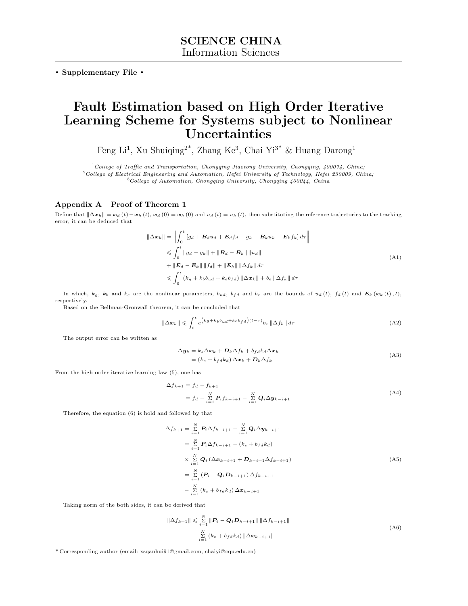. Supplementary File .

## Fault Estimation based on High Order Iterative Learning Scheme for Systems subject to Nonlinear Uncertainties

Feng Li<sup>1</sup>, Xu Shuiqing<sup>2\*</sup>, Zhang Ke<sup>3</sup>, Chai Yi<sup>3\*</sup> & Huang Darong<sup>1</sup>

 $1$ College of Traffic and Transportation, Chongqing Jiaotong University, Chongqing, 400074, China;

 $^{2}$ College of Electrical Engineering and Automation, Hefei University of Technology, Hefei 230009, China;  $3$ College of Automation, Chongqing University, Chongqing  $400044$ , China

## Appendix A Proof of Theorem 1

Define that  $\|\Delta x_k\| = x_d(t) - x_k(t)$ ,  $x_d(0) = x_k(0)$  and  $u_d(t) = u_k(t)$ , then substituting the reference trajectories to the tracking error, it can be deduced that

$$
\|\Delta \boldsymbol{x}_{k}\| = \left\| \int_{0}^{t} \left[ g_{d} + \boldsymbol{B}_{d} u_{d} + \boldsymbol{E}_{d} f_{d} - g_{k} - \boldsymbol{B}_{k} u_{k} - \boldsymbol{E}_{k} f_{k} \right] d\tau \right\|
$$
  
\n
$$
\leq \int_{0}^{t} \left\| g_{d} - g_{k} \right\| + \left\| \boldsymbol{B}_{d} - \boldsymbol{B}_{k} \right\| \left\| u_{d} \right\|
$$
  
\n
$$
+ \left\| \boldsymbol{E}_{d} - \boldsymbol{E}_{k} \right\| \left\| f_{d} \right\| + \left\| \boldsymbol{E}_{k} \right\| \left\| \Delta f_{k} \right\| d\tau
$$
  
\n
$$
\leq \int_{0}^{t} (k_{g} + k_{b} b_{ud} + k_{e} b_{fd}) \left\| \Delta \boldsymbol{x}_{k} \right\| + b_{e} \left\| \Delta f_{k} \right\| d\tau
$$
  
\n(A1)

In which,  $k_g$ ,  $k_b$  and  $k_e$  are the nonlinear parameters,  $b_{ud}$ ,  $b_{fd}$  and  $b_e$  are the bounds of  $u_d(t)$ ,  $f_d(t)$  and  $\mathbf{E}_k(x_k(t), t)$ , respectively.

Based on the Bellman-Gronwall theorem, it can be concluded that

$$
\|\Delta x_k\| \leqslant \int_0^t e^{\left(k_g + k_b b_{ud} + k_e b_{fd}\right)(t-\tau)} b_e \|\Delta f_k\| d\tau \tag{A2}
$$

The output error can be written as

$$
\Delta \mathbf{y}_k = k_s \Delta \mathbf{x}_k + \mathbf{D}_k \Delta f_k + b_{fd} k_d \Delta \mathbf{x}_k
$$
  
=  $(k_s + b_{fd} k_d) \Delta \mathbf{x}_k + \mathbf{D}_k \Delta f_k$  (A3)

From the high order iterative learning law (5), one has

$$
\Delta f_{k+1} = f_d - f_{k+1} \n= f_d - \sum_{i=1}^{N} P_i f_{k-i+1} - \sum_{i=1}^{N} Q_i \Delta y_{k-i+1}
$$
\n(A4)

Therefore, the equation (6) is hold and followed by that

$$
\Delta f_{k+1} = \sum_{i=1}^{N} P_i \Delta f_{k-i+1} - \sum_{i=1}^{N} Q_i \Delta y_{k-i+1}
$$
  
\n
$$
= \sum_{i=1}^{N} P_i \Delta f_{k-i+1} - (k_s + b_f dk_d)
$$
  
\n
$$
\times \sum_{i=1}^{N} Q_i (\Delta x_{k-i+1} + D_{k-i+1} \Delta f_{k-i+1})
$$
  
\n
$$
= \sum_{i=1}^{N} (P_i - Q_i D_{k-i+1}) \Delta f_{k-i+1}
$$
  
\n
$$
- \sum_{i=1}^{N} (k_s + b_f dk_d) \Delta x_{k-i+1}
$$
 (A5)

Taking norm of the both sides, it can be derived that

$$
\|\Delta f_{k+1}\| \leq \sum_{i=1}^{N} \|\mathbf{P}_i - \mathbf{Q}_i \mathbf{D}_{k-i+1}\| \|\Delta f_{k-i+1}\|
$$
  

$$
- \sum_{i=1}^{N} (k_s + b_f dk_d) \|\Delta \mathbf{x}_{k-i+1}\|
$$
 (A6)

<sup>\*</sup> Corresponding author (email: xsqanhui91@gmail.com, chaiyi@cqu.edu.cn)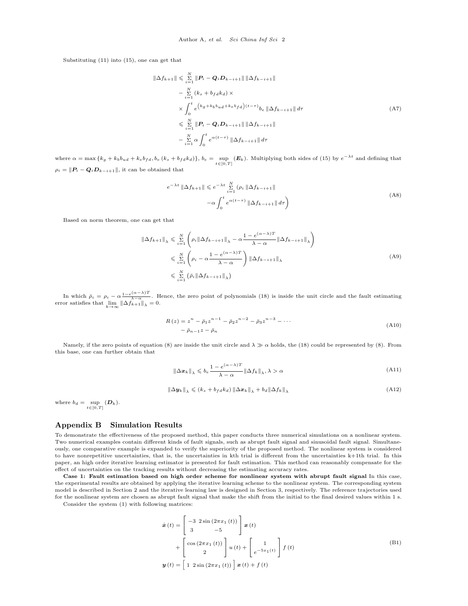Substituting (11) into (15), one can get that

$$
\|\Delta f_{k+1}\| \leq \sum_{i=1}^{N} \|P_i - Q_i D_{k-i+1}\| \|\Delta f_{k-i+1}\| \n- \sum_{i=1}^{N} (k_s + b_f d k_d) \times \n\times \int_0^t e^{(k_g + k_b b_{ud} + k_e b_f d)(t-\tau)} b_e \|\Delta f_{k-i+1}\| d\tau \n\leq \sum_{i=1}^{N} \|P_i - Q_i D_{k-i+1}\| \|\Delta f_{k-i+1}\| \n- \sum_{i=1}^{N} \alpha \int_0^t e^{\alpha(t-\tau)} \|\Delta f_{k-i+1}\| d\tau
$$
\n(A7)

where  $\alpha = \max \left\{ k_g + k_b b_{ud} + k_e b_{fd}, b_e (k_s + b_{fd} k_d) \right\}$ ,  $b_e = \sup_{t \in [0,T]} (\mathbf{E}_k)$ . Multiplying both sides of (15) by  $e^{-\lambda t}$  and defining that  $\rho_i = \|\textbf{\textit{P}}_i - \textbf{\textit{Q}}_i\textbf{\textit{D}}_{k-i+1}\|,$  it can be obtained that

$$
e^{-\lambda t} \|\Delta f_{k+1}\| \leq e^{-\lambda t} \sum_{i=1}^{N} (\rho_i \|\Delta f_{k-i+1}\| -\alpha \int_0^t e^{\alpha(t-\tau)} \|\Delta f_{k-i+1}\| d\tau)
$$
\n(A8)

Based on norm theorem, one can get that

$$
\|\Delta f_{k+1}\|_{\lambda} \leq \sum_{i=1}^{N} \left(\rho_i \|\Delta f_{k-i+1}\|_{\lambda} - \alpha \frac{1 - e^{(\alpha - \lambda)T}}{\lambda - \alpha} \|\Delta f_{k-i+1}\|_{\lambda}\right)
$$
  

$$
\leq \sum_{i=1}^{N} \left(\rho_i - \alpha \frac{1 - e^{(\alpha - \lambda)T}}{\lambda - \alpha}\right) \|\Delta f_{k-i+1}\|_{\lambda}
$$
  

$$
\leq \sum_{i=1}^{N} \left(\bar{\rho}_i \|\Delta f_{k-i+1}\|_{\lambda}\right)
$$
 (A9)

In which  $\bar{\rho}_i = \rho_i - \alpha \frac{1 - e^{(\alpha - \lambda)T}}{\lambda - \alpha}$ . Hence, the zero point of polynomials (18) is inside the unit circle and the fault estimating error satisfies that  $\lim_{k \to \infty} ||\Delta f_{k+1}||_{\lambda} = 0.$ 

$$
R(z) = z^{n} - \bar{p}_{1}z^{n-1} - \bar{p}_{2}z^{n-2} - \bar{p}_{3}z^{n-3} - \cdots
$$
  
-  $\bar{p}_{n-1}z - \bar{p}_{n}$  (A10)

Namely, if the zero points of equation (8) are inside the unit circle and  $\lambda \gg \alpha$  holds, the (18) could be represented by (8). From this base, one can further obtain that

$$
\left\|\Delta x_{k}\right\|_{\lambda} \leqslant b_{e} \frac{1 - e^{(\alpha - \lambda)T}}{\lambda - \alpha} \left\|\Delta f_{k}\right\|_{\lambda}, \lambda > \alpha \tag{A11}
$$

$$
\|\Delta \mathbf{y}_{k}\|_{\lambda} \leqslant (k_s + b_{fd}k_d) \|\Delta \mathbf{x}_{k}\|_{\lambda} + b_d \|\Delta f_k\|_{\lambda}
$$
\n(A12)

where  $b_d = \sup (D_k)$ .  $t\in[0,T]$ 

## Appendix B Simulation Results

To demonstrate the effectiveness of the proposed method, this paper conducts three numerical simulations on a nonlinear system. Two numerical examples contain different kinds of fault signals, such as abrupt fault signal and sinusoidal fault signal. Simultaneously, one comparative example is expanded to verify the superiority of the proposed method. The nonlinear system is considered to have nonrepetitive uncertainties, that is, the uncertainties in kth trial is different from the uncertainties k+1th trial. In this paper, an high order iterative learning estimator is presented for fault estimation. This method can reasonably compensate for the effect of uncertainties on the tracking results without decreasing the estimating accuracy rates.

Case 1: Fault estimation based on high order scheme for nonlinear system with abrupt fault signal In this case, the experimental results are obtained by applying the iterative learning scheme to the nonlinear system. The corresponding system model is described in Section 2 and the iterative learning law is designed in Section 3, respectively. The reference trajectories used for the nonlinear system are chosen as abrupt fault signal that make the shift from the initial to the final desired values within 1 s.

Consider the system (1) with following matrices:

$$
\dot{\boldsymbol{x}}(t) = \begin{bmatrix} -3 & 2\sin(2\pi x_1(t)) \\ 3 & -5 \end{bmatrix} \boldsymbol{x}(t)
$$

$$
+ \begin{bmatrix} \cos(2\pi x_1(t)) \\ 2 \end{bmatrix} u(t) + \begin{bmatrix} 1 \\ e^{-5x_1(t)} \end{bmatrix} f(t)
$$
(B1)
$$
\boldsymbol{y}(t) = \begin{bmatrix} 1 & 2\sin(2\pi x_1(t)) \end{bmatrix} \boldsymbol{x}(t) + f(t)
$$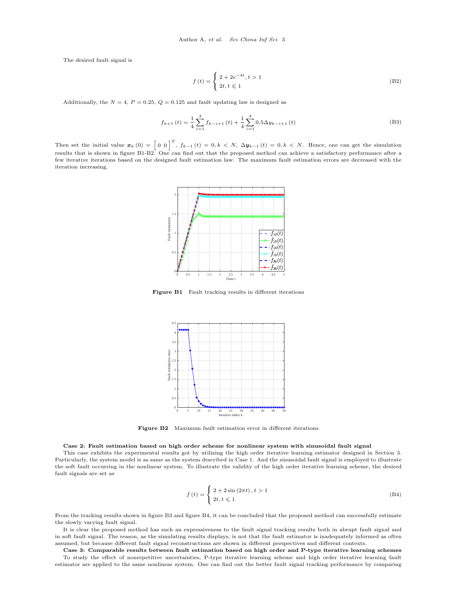The desired fault signal is

$$
f(t) = \begin{cases} 2 + 2e^{-4t}, t > 1\\ 2t, t \le 1 \end{cases}
$$
 (B2)

Additionally, the  $N = 4$ ,  $P = 0.25$ ,  $Q = 0.125$  and fault updating law is designed as

$$
f_{k+1}(t) = \frac{1}{4} \sum_{i=1}^{4} f_{k-i+1}(t) + \frac{1}{4} \sum_{i=1}^{4} 0.5 \Delta y_{k-i+1}(t)
$$
 (B3)

<span id="page-2-0"></span>Then set the initial value  $\mathbf{x}_k(0) = \begin{bmatrix} 0 & 0 \end{bmatrix}^T$ ,  $f_{k-1}(t) = 0, k \lt N$ ,  $\Delta \mathbf{y}_{k-1}(t) = 0, k \lt N$ . Hence, one can get the simulation results that is shown in figure [B1-](#page-2-0)[B2.](#page-2-1) One can find out that the proposed method can achieve a satisfactory performance after a few iterative iterations based on the designed fault estimation law. The maximum fault estimation errors are decreased with the iteration increasing.



<span id="page-2-1"></span>Figure B1 Fault tracking results in different iterations



Figure B2 Maximum fault estimation error in different iterations

## Case 2: Fault estimation based on high order scheme for nonlinear system with sinusoidal fault signal

This case exhibits the experimental results got by utilizing the high order iterative learning estimator designed in Section 3. Particularly, the system model is as same as the system described in Case 1. And the sinusoidal fault signal is employed to illustrate the soft fault occurring in the nonlinear system. To illustrate the validity of the high order iterative learning scheme, the desired fault signals are set as

$$
f(t) = \begin{cases} 2 + 2\sin(2\pi t), t > 1 \\ 2t, t \le 1 \end{cases}
$$
 (B4)

From the tracking results shown in figure [B3](#page-3-0) and figure [B4,](#page-3-1) it can be concluded that the proposed method can successfully estimate the slowly varying fault signal.

It is clear the proposed method has such an expressiveness to the fault signal tracking results both in abrupt fault signal and in soft fault signal. The reason, as the simulating results displays, is not that the fault estimator is inadequately informed as often assumed, but because different fault signal reconstructions are shown in different perspectives and different contexts.

Case 3: Comparable results between fault estimation based on high order and P-type iterative learning schemes To study the effect of nonrepetitive uncertainties, P-type iterative learning scheme and high order iterative learning fault estimator are applied to the same nonlinear system. One can find out the better fault signal tracking performance by comparing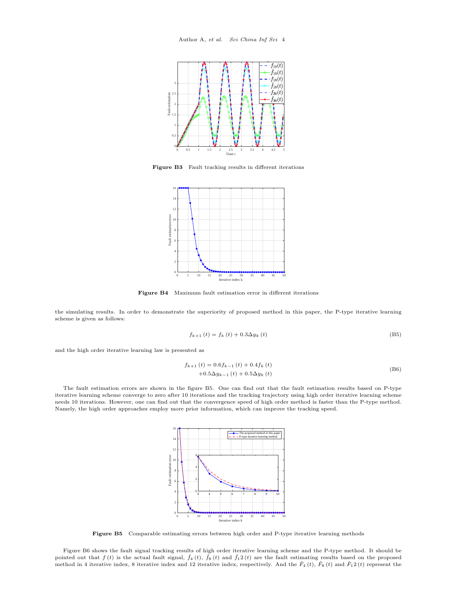<span id="page-3-0"></span>

<span id="page-3-1"></span>Figure B3 Fault tracking results in different iterations



Figure B4 Maximum fault estimation error in different iterations

the simulating results. In order to demonstrate the superiority of proposed method in this paper, the P-type iterative learning scheme is given as follows:

$$
f_{k+1}(t) = f_k(t) + 0.3\Delta y_k(t)
$$
 (B5)

and the high order iterative learning law is presented as

$$
f_{k+1}(t) = 0.6f_{k-1}(t) + 0.4f_k(t)
$$
  
+0.5 $\Delta y_{k-1}(t)$  + 0.5 $\Delta y_k(t)$  (B6)

<span id="page-3-2"></span>The fault estimation errors are shown in the figure [B5.](#page-3-2) One can find out that the fault estimation results based on P-type iterative learning scheme converge to zero after 10 iterations and the tracking trajectory using high order iterative learning scheme needs 10 iterations. However, one can find out that the convergence speed of high order method is faster than the P-type method. Namely, the high order approaches employ more prior information, which can improve the tracking speed.



Figure B5 Comparable estimating errors between high order and P-type iterative learning methods

Figure [B6](#page-4-0) shows the fault signal tracking results of high order iterative learning scheme and the P-type method. It should be pointed out that  $f(t)$  is the actual fault signal,  $\hat{f}_4(t)$ ,  $\hat{f}_8(t)$  and  $\hat{f}_12(t)$  are the fault estimating results based on the proposed method in 4 iterative index, 8 iterative index and 12 iterative index, respectively. And the  $\hat{F}_4(t)$ ,  $\hat{F}_8(t)$  and  $\hat{F}_1(2(t)$  represent the